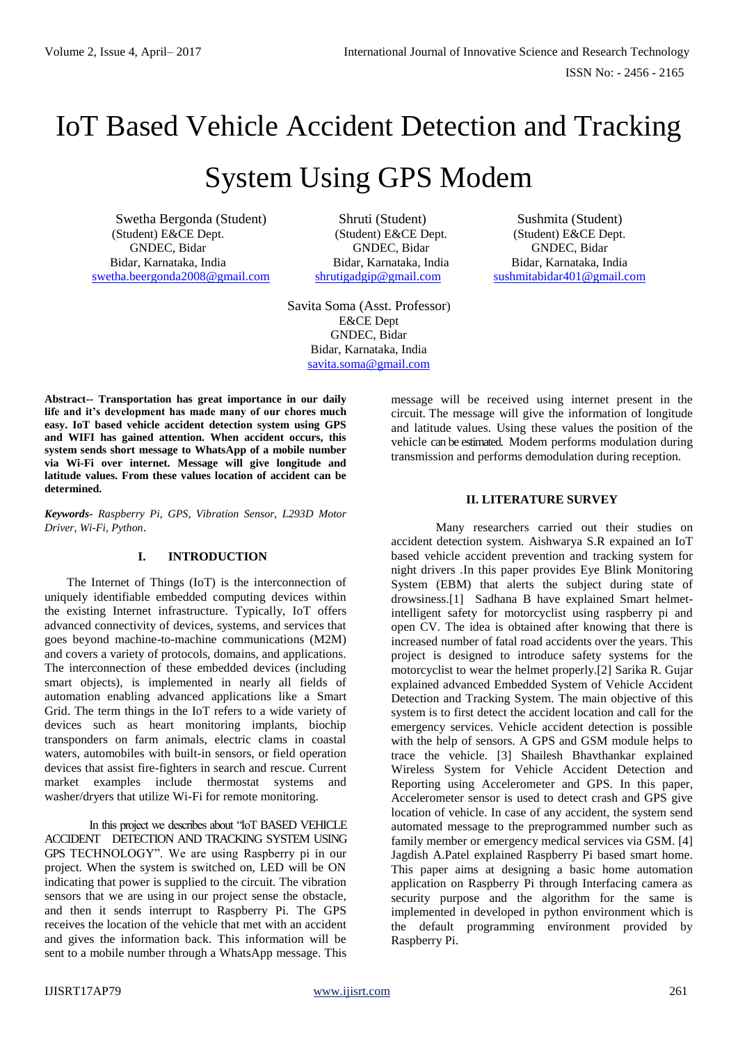ISSN No: - 2456 - 2165

# IoT Based Vehicle Accident Detection and Tracking

# System Using GPS Modem

Swetha Bergonda (Student) Shruti (Student) Sushmita (Student) (Student) E&CE Dept. (Student) E&CE Dept. (Student) E&CE Dept. GNDEC, Bidar GNDEC, Bidar GNDEC, Bidar Bidar, Karnataka, India Bidar, Karnataka, India Bidar, Karnataka, India [swetha.beergonda2008@gmail.com](mailto:swetha.beergonda2008@gmail.com) [shrutigadgip@gmail.com](mailto:shrutigadgip@gmail.com) [sushmitabidar401@gmail.com](mailto:sushmitabidar401@gmail.com)

Savita Soma (Asst. Professor) E&CE Dept GNDEC, Bidar Bidar, Karnataka, India [savita.soma@gmail.com](mailto:savita.soma@gmail.com)

**Abstract-- Transportation has great importance in our daily life and it's development has made many of our chores much easy. IoT based vehicle accident detection system using GPS and WIFI has gained attention. When accident occurs, this system sends short message to WhatsApp of a mobile number via Wi-Fi over internet. Message will give longitude and latitude values. From these values location of accident can be determined.**

*Keywords- Raspberry Pi, GPS, Vibration Sensor, L293D Motor Driver, Wi-Fi, Python*.

# **I. INTRODUCTION**

The Internet of Things (IoT) is the interconnection of uniquely identifiable embedded computing devices within the existing Internet infrastructure. Typically, IoT offers advanced connectivity of devices, systems, and services that goes beyond machine-to-machine communications (M2M) and covers a variety of protocols, domains, and applications. The interconnection of these embedded devices (including smart objects), is implemented in nearly all fields of automation enabling advanced applications like a Smart Grid. The term things in the IoT refers to a wide variety of devices such as heart monitoring implants, biochip transponders on farm animals, electric clams in coastal waters, automobiles with built-in sensors, or field operation devices that assist fire-fighters in search and rescue. Current market examples include thermostat systems and washer/dryers that utilize Wi-Fi for remote monitoring.

In this project we describes about "IoT BASED VEHICLE ACCIDENT DETECTION AND TRACKING SYSTEM USING GPS TECHNOLOGY". We are using Raspberry pi in our project. When the system is switched on, LED will be ON indicating that power is supplied to the circuit. The vibration sensors that we are using in our project sense the obstacle, and then it sends interrupt to Raspberry Pi. The GPS receives the location of the vehicle that met with an accident and gives the information back. This information will be sent to a mobile number through a WhatsApp message. This

message will be received using internet present in the circuit. The message will give the information of longitude and latitude values. Using these values the position of the vehicle can be estimated. Modem performs modulation during transmission and performs demodulation during reception.

# **II. LITERATURE SURVEY**

Many researchers carried out their studies on accident detection system. Aishwarya S.R expained an IoT based vehicle accident prevention and tracking system for night drivers *.*In this paper provides Eye Blink Monitoring System (EBM) that alerts the subject during state of drowsiness.[1] Sadhana B have explained Smart helmetintelligent safety for motorcyclist using raspberry pi and open CV. The idea is obtained after knowing that there is increased number of fatal road accidents over the years. This project is designed to introduce safety systems for the motorcyclist to wear the helmet properly.[2] Sarika R. Gujar explained advanced Embedded System of Vehicle Accident Detection and Tracking System. The main objective of this system is to first detect the accident location and call for the emergency services. Vehicle accident detection is possible with the help of sensors. A GPS and GSM module helps to trace the vehicle. [3] Shailesh Bhavthankar explained Wireless System for Vehicle Accident Detection and Reporting using Accelerometer and GPS. In this paper, Accelerometer sensor is used to detect crash and GPS give location of vehicle. In case of any accident, the system send automated message to the preprogrammed number such as family member or emergency medical services via GSM. [4] Jagdish A.Patel explained Raspberry Pi based smart home. This paper aims at designing a basic home automation application on Raspberry Pi through Interfacing camera as security purpose and the algorithm for the same is implemented in developed in python environment which is the default programming environment provided by Raspberry Pi.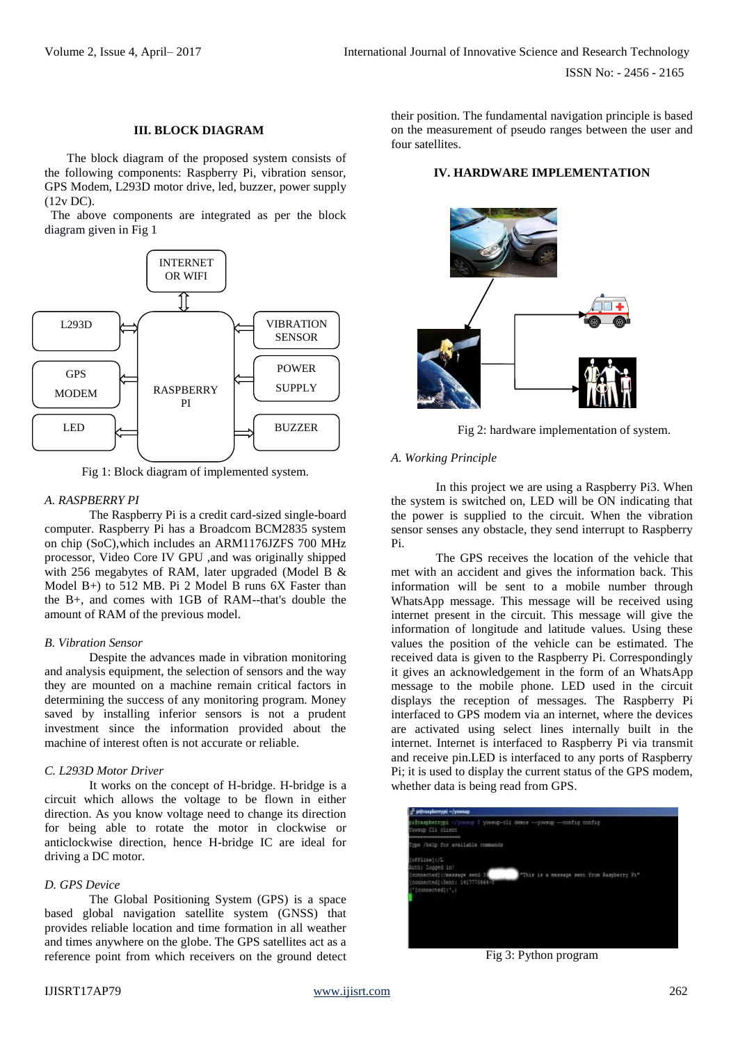#### **III. BLOCK DIAGRAM**

The block diagram of the proposed system consists of the following components: Raspberry Pi, vibration sensor, GPS Modem, L293D motor drive, led, buzzer, power supply (12v DC).

 The above components are integrated as per the block diagram given in Fig 1



Fig 1: Block diagram of implemented system.

# *A. RASPBERRY PI*

The Raspberry Pi is a credit card-sized single-board computer. Raspberry Pi has a Broadcom BCM2835 system on chip (SoC),which includes an ARM1176JZFS 700 MHz processor, Video Core IV GPU ,and was originally shipped with 256 megabytes of RAM, later upgraded (Model B & Model B+) to 512 MB. Pi 2 Model B runs 6X Faster than the B+, and comes with 1GB of RAM--that's double the amount of RAM of the previous model.

# *B. Vibration Sensor*

Despite the advances made in vibration monitoring and analysis equipment, the selection of sensors and the way they are mounted on a machine remain critical factors in determining the success of any monitoring program. Money saved by installing inferior sensors is not a prudent investment since the information provided about the machine of interest often is not accurate or reliable.

# *C. L293D Motor Driver*

It works on the concept of H-bridge. H-bridge is a circuit which allows the voltage to be flown in either direction. As you know voltage need to change its direction for being able to rotate the motor in clockwise or anticlockwise direction, hence H-bridge IC are ideal for driving a DC motor.

# *D. GPS Device*

The Global Positioning System (GPS) is a space based global navigation satellite system (GNSS) that provides reliable location and time formation in all weather and times anywhere on the globe. The GPS satellites act as a reference point from which receivers on the ground detect

their position. The fundamental navigation principle is based on the measurement of pseudo ranges between the user and four satellites.

# **IV. HARDWARE IMPLEMENTATION**



Fig 2: hardware implementation of system.

# *A. Working Principle*

In this project we are using a Raspberry Pi3. When the system is switched on, LED will be ON indicating that the power is supplied to the circuit. When the vibration sensor senses any obstacle, they send interrupt to Raspberry Pi.

The GPS receives the location of the vehicle that met with an accident and gives the information back. This information will be sent to a mobile number through WhatsApp message. This message will be received using internet present in the circuit. This message will give the information of longitude and latitude values. Using these values the position of the vehicle can be estimated. The received data is given to the Raspberry Pi. Correspondingly it gives an acknowledgement in the form of an WhatsApp message to the mobile phone. LED used in the circuit displays the reception of messages. The Raspberry Pi interfaced to GPS modem via an internet, where the devices are activated using select lines internally built in the internet. Internet is interfaced to Raspberry Pi via transmit and receive pin.LED is interfaced to any ports of Raspberry Pi; it is used to display the current status of the GPS modem, whether data is being read from GPS.



Fig 3: Python program